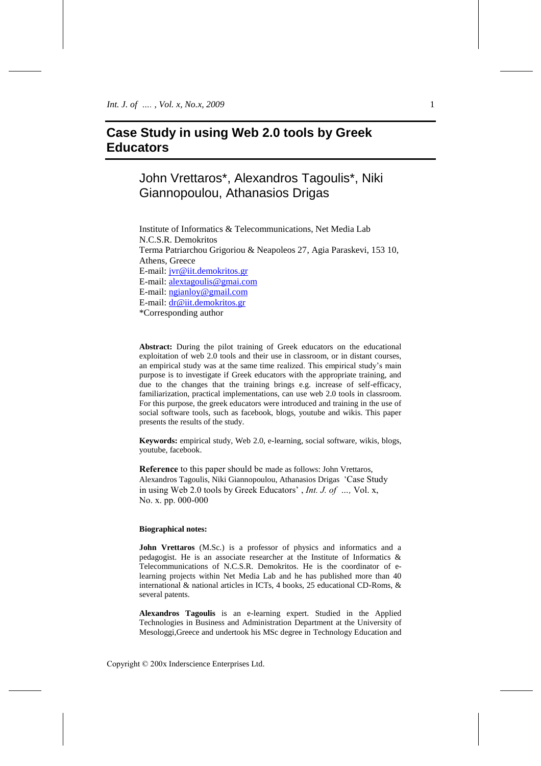# **Case Study in using Web 2.0 tools by Greek Educators**

# John Vrettaros\*, Alexandros Tagoulis\*, Niki Giannopoulou, Athanasios Drigas

Institute of Informatics & Telecommunications, Net Media Lab N.C.S.R. Demokritos Terma Patriarchou Grigoriou & Neapoleos 27, Agia Paraskevi, 153 10, Athens, Greece E-mail: [jvr@iit.demokritos.gr](mailto:jvr@iit.demokritos.gr) E-mail: [alextagoulis@gmai.com](mailto:alextagoulis@gmai.com) E-mail: [ngianloy@gmail.com](mailto:ngianloy@gmail.com) E-mail: dr@iit.demokritos.gr \*Corresponding author

**Abstract:** During the pilot training of Greek educators on the educational exploitation of web 2.0 tools and their use in classroom, or in distant courses, an empirical study was at the same time realized. This empirical study's main purpose is to investigate if Greek educators with the appropriate training, and due to the changes that the training brings e.g. increase of self-efficacy, familiarization, practical implementations, can use web 2.0 tools in classroom. For this purpose, the greek educators were introduced and training in the use of social software tools, such as facebook, blogs, youtube and wikis. This paper presents the results of the study.

**Keywords:** empirical study, Web 2.0, e-learning, social software, wikis, blogs, youtube, facebook.

**Reference** to this paper should be made as follows: John Vrettaros, Alexandros Tagoulis, Niki Giannopoulou, Athanasios Drigas 'Case Study in using Web 2.0 tools by Greek Educators' , *Int. J. of …,* Vol. x, No. x. pp. 000-000

## **Biographical notes:**

**John Vrettaros** (M.Sc.) is a professor of physics and informatics and a pedagogist. He is an associate researcher at the Institute of Informatics & Telecommunications of N.C.S.R. Demokritos. He is the coordinator of elearning projects within Net Media Lab and he has published more than 40 international & national articles in ICTs, 4 books, 25 educational CD-Roms, & several patents.

**Alexandros Tagoulis** is an e-learning expert. Studied in the Applied Technologies in Business and Administration Department at the University of Mesologgi,Greece and undertook his MSc degree in Technology Education and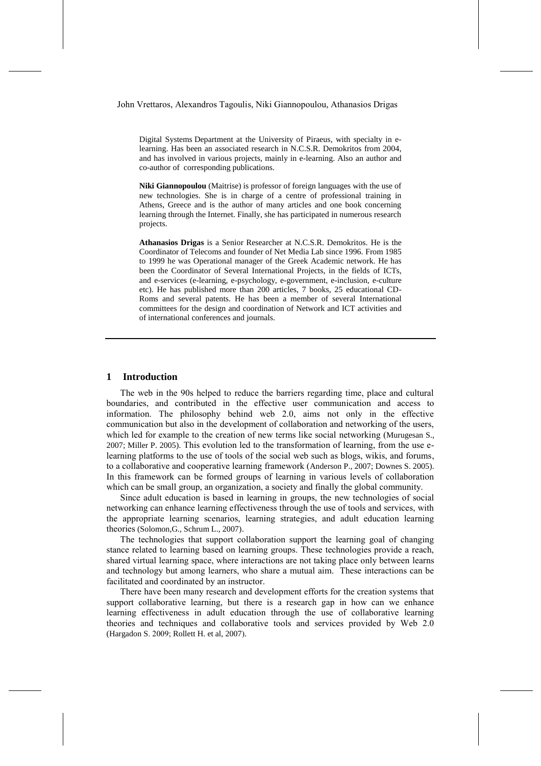Digital Systems Department at the University of Piraeus, with specialty in elearning. Has been an associated research in N.C.S.R. Demokritos from 2004, and has involved in various projects, mainly in e-learning. Also an author and co-author of corresponding publications.

**Niki Giannopoulou** (Maitrise) is professor of foreign languages with the use of new technologies. She is in charge of a centre of professional training in Athens, Greece and is the author of many articles and one book concerning learning through the Internet. Finally, she has participated in numerous research projects.

**Athanasios Drigas** is a Senior Researcher at N.C.S.R. Demokritos. He is the Coordinator of Telecoms and founder of Net Media Lab since 1996. From 1985 to 1999 he was Operational manager of the Greek Academic network. He has been the Coordinator of Several International Projects, in the fields of ICTs, and e-services (e-learning, e-psychology, e-government, e-inclusion, e-culture etc). He has published more than 200 articles, 7 books, 25 educational CD-Roms and several patents. He has been a member of several International committees for the design and coordination of Network and ICT activities and of international conferences and journals.

## **1 Introduction**

The web in the 90s helped to reduce the barriers regarding time, place and cultural boundaries, and contributed in the effective user communication and access to information. The philosophy behind web 2.0, aims not only in the effective communication but also in the development of collaboration and networking of the users, which led for example to the creation of new terms like social networking (Murugesan S., 2007; Miller P. 2005). This evolution led to the transformation of learning, from the use elearning platforms to the use of tools of the social web such as blogs, wikis, and forums, to a collaborative and cooperative learning framework (Anderson P., 2007; Downes S. 2005). In this framework can be formed groups of learning in various levels of collaboration which can be small group, an organization, a society and finally the global community.

Since adult education is based in learning in groups, the new technologies of social networking can enhance learning effectiveness through the use of tools and services, with the appropriate learning scenarios, learning strategies, and adult education learning theories (Solomon,G., Schrum L., 2007).

The technologies that support collaboration support the learning goal of changing stance related to learning based on learning groups. These technologies provide a reach, shared virtual learning space, where interactions are not taking place only between learns and technology but among learners, who share a mutual aim. These interactions can be facilitated and coordinated by an instructor.

There have been many research and development efforts for the creation systems that support collaborative learning, but there is a research gap in how can we enhance learning effectiveness in adult education through the use of collaborative learning theories and techniques and collaborative tools and services provided by Web 2.0 (Hargadon S. 2009; Rollett H. et al, 2007).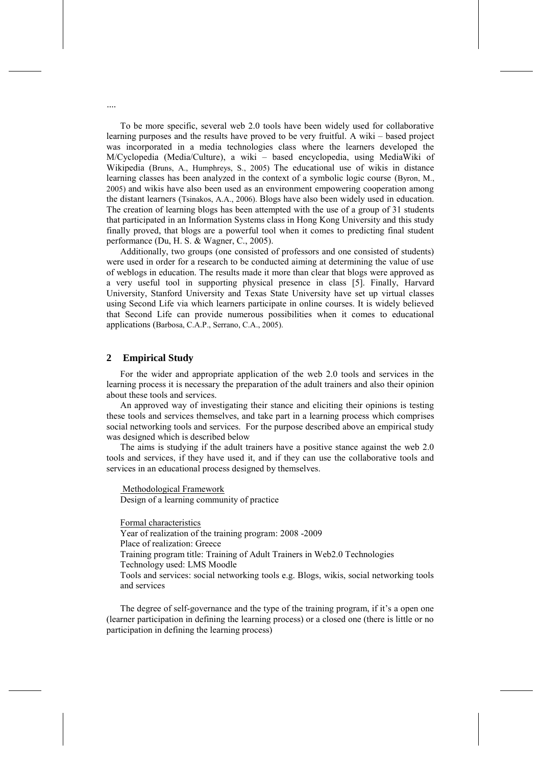To be more specific, several web 2.0 tools have been widely used for collaborative learning purposes and the results have proved to be very fruitful. A wiki – based project was incorporated in a media technologies class where the learners developed the M/Cyclopedia (Media/Culture), a wiki – based encyclopedia, using MediaWiki of Wikipedia (Bruns, A., Humphreys, S., 2005) The educational use of wikis in distance learning classes has been analyzed in the context of a symbolic logic course (Byron, M., 2005) and wikis have also been used as an environment empowering cooperation among the distant learners (Tsinakos, A.A., 2006). Blogs have also been widely used in education. The creation of learning blogs has been attempted with the use of a group of 31 students that participated in an Information Systems class in Hong Kong University and this study finally proved, that blogs are a powerful tool when it comes to predicting final student performance (Du, H. S. & Wagner, C., 2005).

Additionally, two groups (one consisted of professors and one consisted of students) were used in order for a research to be conducted aiming at determining the value of use of weblogs in education. The results made it more than clear that blogs were approved as a very useful tool in supporting physical presence in class [5]. Finally, Harvard University, Stanford University and Texas State University have set up virtual classes using Second Life via which learners participate in online courses. It is widely believed that Second Life can provide numerous possibilities when it comes to educational applications (Barbosa, C.A.P., Serrano, C.A., 2005).

## **2 Empirical Study**

For the wider and appropriate application of the web 2.0 tools and services in the learning process it is necessary the preparation of the adult trainers and also their opinion about these tools and services.

An approved way of investigating their stance and eliciting their opinions is testing these tools and services themselves, and take part in a learning process which comprises social networking tools and services. For the purpose described above an empirical study was designed which is described below

The aims is studying if the adult trainers have a positive stance against the web 2.0 tools and services, if they have used it, and if they can use the collaborative tools and services in an educational process designed by themselves.

Methodological Framework Design of a learning community of practice

Formal characteristics

Year of realization of the training program: 2008 -2009 Place of realization: Greece Training program title: Training of Adult Trainers in Web2.0 Technologies Technology used: LMS Moodle Tools and services: social networking tools e.g. Blogs, wikis, social networking tools and services

The degree of self-governance and the type of the training program, if it's a open one (learner participation in defining the learning process) or a closed one (there is little or no participation in defining the learning process)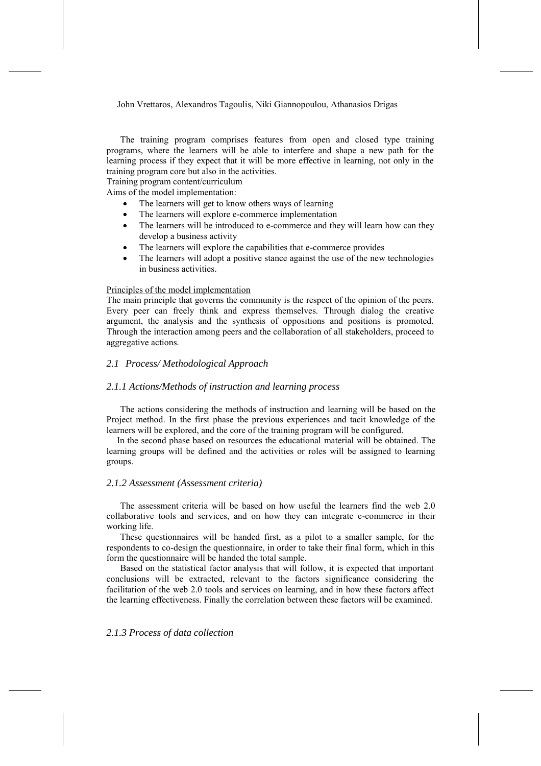The training program comprises features from open and closed type training programs, where the learners will be able to interfere and shape a new path for the learning process if they expect that it will be more effective in learning, not only in the training program core but also in the activities.

Training program content/curriculum

Aims of the model implementation:

- The learners will get to know others ways of learning
- The learners will explore e-commerce implementation
- The learners will be introduced to e-commerce and they will learn how can they develop a business activity
- The learners will explore the capabilities that e-commerce provides
- The learners will adopt a positive stance against the use of the new technologies in business activities.

#### Principles of the model implementation

The main principle that governs the community is the respect of the opinion of the peers. Every peer can freely think and express themselves. Through dialog the creative argument, the analysis and the synthesis of oppositions and positions is promoted. Through the interaction among peers and the collaboration of all stakeholders, proceed to aggregative actions.

## *2.1 Process/ Methodological Approach*

#### *2.1.1 Actions/Methods of instruction and learning process*

The actions considering the methods of instruction and learning will be based on the Project method. In the first phase the previous experiences and tacit knowledge of the learners will be explored, and the core of the training program will be configured.

In the second phase based on resources the educational material will be obtained. The learning groups will be defined and the activities or roles will be assigned to learning groups.

#### *2.1.2 Assessment (Assessment criteria)*

The assessment criteria will be based on how useful the learners find the web 2.0 collaborative tools and services, and on how they can integrate e-commerce in their working life.

These questionnaires will be handed first, as a pilot to a smaller sample, for the respondents to co-design the questionnaire, in order to take their final form, which in this form the questionnaire will be handed the total sample.

Based on the statistical factor analysis that will follow, it is expected that important conclusions will be extracted, relevant to the factors significance considering the facilitation of the web 2.0 tools and services on learning, and in how these factors affect the learning effectiveness. Finally the correlation between these factors will be examined.

## *2.1.3 Process of data collection*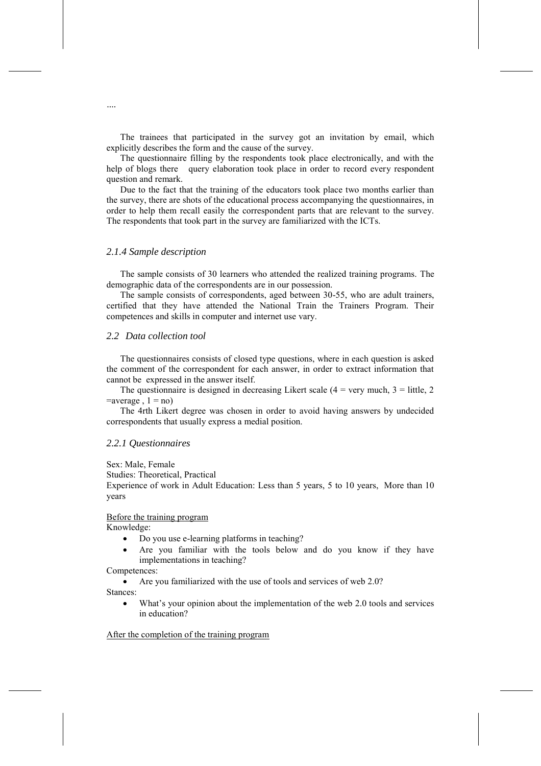The trainees that participated in the survey got an invitation by email, which explicitly describes the form and the cause of the survey.

The questionnaire filling by the respondents took place electronically, and with the help of blogs there query elaboration took place in order to record every respondent question and remark.

Due to the fact that the training of the educators took place two months earlier than the survey, there are shots of the educational process accompanying the questionnaires, in order to help them recall easily the correspondent parts that are relevant to the survey. The respondents that took part in the survey are familiarized with the ICTs.

# *2.1.4 Sample description*

The sample consists of 30 learners who attended the realized training programs. The demographic data of the correspondents are in our possession.

The sample consists of correspondents, aged between 30-55, who are adult trainers, certified that they have attended the National Train the Trainers Program. Their competences and skills in computer and internet use vary.

## *2.2 Data collection tool*

The questionnaires consists of closed type questions, where in each question is asked the comment of the correspondent for each answer, in order to extract information that cannot be expressed in the answer itself.

The questionnaire is designed in decreasing Likert scale  $(4 = \text{very much}, 3 = \text{little}, 2$  $=$ average ,  $1 =$ no)

The 4rth Likert degree was chosen in order to avoid having answers by undecided correspondents that usually express a medial position.

#### *2.2.1 Questionnaires*

Sex: Male, Female

Studies: Theoretical, Practical

Experience of work in Adult Education: Less than 5 years, 5 to 10 years, More than 10 years

## Before the training program

Knowledge:

- Do you use e-learning platforms in teaching?
- Are you familiar with the tools below and do you know if they have implementations in teaching?

Competences:

Are you familiarized with the use of tools and services of web 2.0?

Stances:

 What's your opinion about the implementation of the web 2.0 tools and services in education?

After the completion of the training program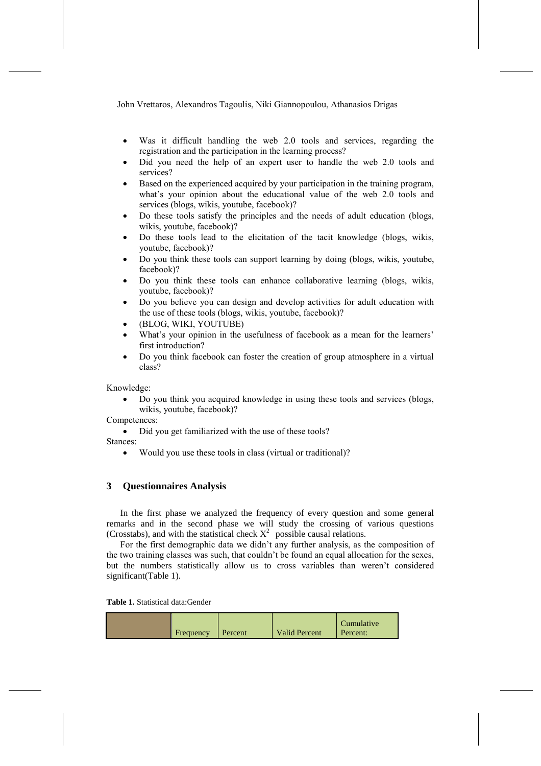- Was it difficult handling the web 2.0 tools and services, regarding the registration and the participation in the learning process?
- Did you need the help of an expert user to handle the web 2.0 tools and services?
- Based on the experienced acquired by your participation in the training program, what's your opinion about the educational value of the web 2.0 tools and services (blogs, wikis, youtube, facebook)?
- Do these tools satisfy the principles and the needs of adult education (blogs, wikis, youtube, facebook)?
- Do these tools lead to the elicitation of the tacit knowledge (blogs, wikis, youtube, facebook)?
- Do you think these tools can support learning by doing (blogs, wikis, youtube, facebook)?
- Do you think these tools can enhance collaborative learning (blogs, wikis, youtube, facebook)?
- Do you believe you can design and develop activities for adult education with the use of these tools (blogs, wikis, youtube, facebook)?
- (BLOG, WIKI, YOUTUBE)
- What's your opinion in the usefulness of facebook as a mean for the learners' first introduction?
- Do you think facebook can foster the creation of group atmosphere in a virtual class?

Knowledge:

 Do you think you acquired knowledge in using these tools and services (blogs, wikis, youtube, facebook)?

Competences:

• Did you get familiarized with the use of these tools?

Stances:

Would you use these tools in class (virtual or traditional)?

# **3 Questionnaires Analysis**

In the first phase we analyzed the frequency of every question and some general remarks and in the second phase we will study the crossing of various questions (Crosstabs), and with the statistical check  $X^2$  possible causal relations.

For the first demographic data we didn't any further analysis, as the composition of the two training classes was such, that couldn't be found an equal allocation for the sexes, but the numbers statistically allow us to cross variables than weren't considered significant(Table 1).

**Table 1.** Statistical data:Gender

|           |         |                      | Cumulative |
|-----------|---------|----------------------|------------|
| Frequency | Percent | <b>Valid Percent</b> | Percent:   |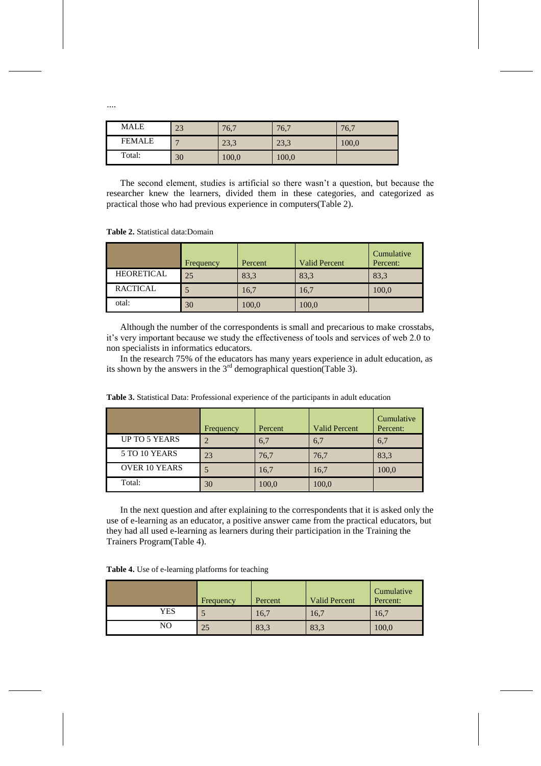| <b>MALE</b>   | 23 | 76,7  | 76,7  | 76,7  |
|---------------|----|-------|-------|-------|
| <b>FEMALE</b> | -  | 23,3  | 23,3  | 100,0 |
| Total:        | 30 | 100,0 | 100,0 |       |

The second element, studies is artificial so there wasn't a question, but because the researcher knew the learners, divided them in these categories, and categorized as practical those who had previous experience in computers(Table 2).

**Table 2.** Statistical data:Domain

|                   | Frequency | Percent | <b>Valid Percent</b> | Cumulative<br>Percent: |
|-------------------|-----------|---------|----------------------|------------------------|
| <b>HEORETICAL</b> | 25        | 83,3    | 83,3                 | 83,3                   |
| <b>RACTICAL</b>   |           | 16,7    | 16,7                 | 100,0                  |
| otal:             | 30        | 100,0   | 100,0                |                        |

Although the number of the correspondents is small and precarious to make crosstabs, it's very important because we study the effectiveness of tools and services of web 2.0 to non specialists in informatics educators.

In the research 75% of the educators has many years experience in adult education, as its shown by the answers in the  $3<sup>rd</sup>$  demographical question(Table 3).

|                      | Frequency | Percent | <b>Valid Percent</b> | Cumulative<br>Percent: |
|----------------------|-----------|---------|----------------------|------------------------|
| <b>UP TO 5 YEARS</b> |           | 6,7     | 6,7                  | 6,7                    |
| 5 TO 10 YEARS        | 23        | 76,7    | 76,7                 | 83,3                   |
| <b>OVER 10 YEARS</b> |           | 16,7    | 16,7                 | 100,0                  |
| Total:               | 30        | 100,0   | 100,0                |                        |

**Table 3.** Statistical Data: Professional experience of the participants in adult education

In the next question and after explaining to the correspondents that it is asked only the use of e-learning as an educator, a positive answer came from the practical educators, but they had all used e-learning as learners during their participation in the Training the Trainers Program(Table 4).

|  |  | Table 4. Use of e-learning platforms for teaching |
|--|--|---------------------------------------------------|
|  |  |                                                   |

|     | Frequency | Percent | <b>Valid Percent</b> | Cumulative<br>Percent: |
|-----|-----------|---------|----------------------|------------------------|
| YES |           | 16,7    | 16,7                 | 16,7                   |
| NO  | 25        | 83,3    | 83,3                 | 100,0                  |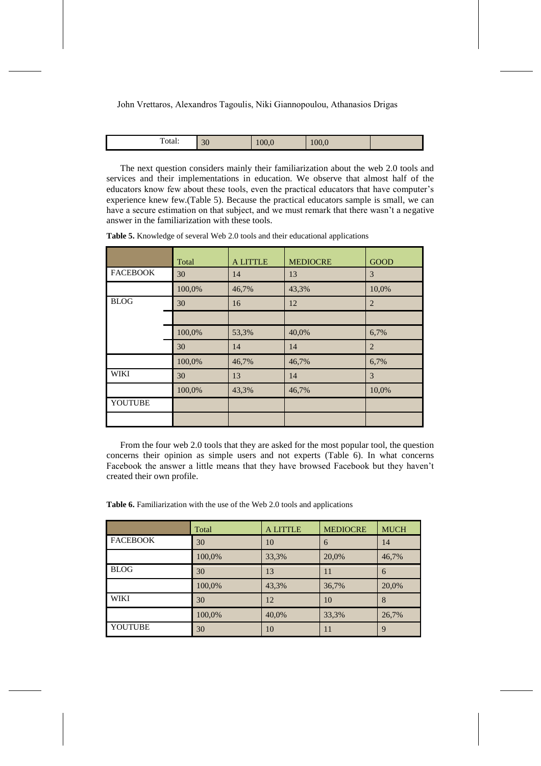| ᠇᠇<br>$\Omega$<br>$\Omega$<br>$\sim$<br>Total:<br>30<br>$\mathbf{U}$<br>$J_{\rm U}$ |
|-------------------------------------------------------------------------------------|
|-------------------------------------------------------------------------------------|

The next question considers mainly their familiarization about the web 2.0 tools and services and their implementations in education. We observe that almost half of the educators know few about these tools, even the practical educators that have computer's experience knew few.(Table 5). Because the practical educators sample is small, we can have a secure estimation on that subject, and we must remark that there wasn't a negative answer in the familiarization with these tools.

**Table 5.** Knowledge of several Web 2.0 tools and their educational applications

|                 | Total  | <b>A LITTLE</b> | <b>MEDIOCRE</b> | <b>GOOD</b>    |
|-----------------|--------|-----------------|-----------------|----------------|
| <b>FACEBOOK</b> | 30     | 14              | 13              | 3              |
|                 | 100,0% | 46,7%           | 43,3%           | 10,0%          |
| <b>BLOG</b>     | 30     | 16              | 12              | $\overline{2}$ |
|                 |        |                 |                 |                |
|                 | 100,0% | 53,3%           | 40,0%           | 6,7%           |
|                 | 30     | 14              | 14              | $\overline{2}$ |
|                 | 100,0% | 46,7%           | 46,7%           | 6,7%           |
| <b>WIKI</b>     | 30     | 13              | 14              | 3              |
|                 | 100,0% | 43,3%           | 46,7%           | 10,0%          |
| YOUTUBE         |        |                 |                 |                |
|                 |        |                 |                 |                |

From the four web 2.0 tools that they are asked for the most popular tool, the question concerns their opinion as simple users and not experts (Table 6). In what concerns Facebook the answer a little means that they have browsed Facebook but they haven't created their own profile.

Table 6. Familiarization with the use of the Web 2.0 tools and applications

|                 | Total  | <b>A LITTLE</b> | <b>MEDIOCRE</b> | <b>MUCH</b> |
|-----------------|--------|-----------------|-----------------|-------------|
| <b>FACEBOOK</b> | 30     | 10              | 6               | 14          |
|                 | 100,0% | 33,3%           | 20,0%           | 46,7%       |
| <b>BLOG</b>     | 30     | 13              | 11              | 6           |
|                 | 100,0% | 43,3%           | 36,7%           | 20,0%       |
| WIKI            | 30     | 12              | 10              | 8           |
|                 | 100,0% | 40,0%           | 33,3%           | 26,7%       |
| YOUTUBE         | 30     | 10              | 11              | 9           |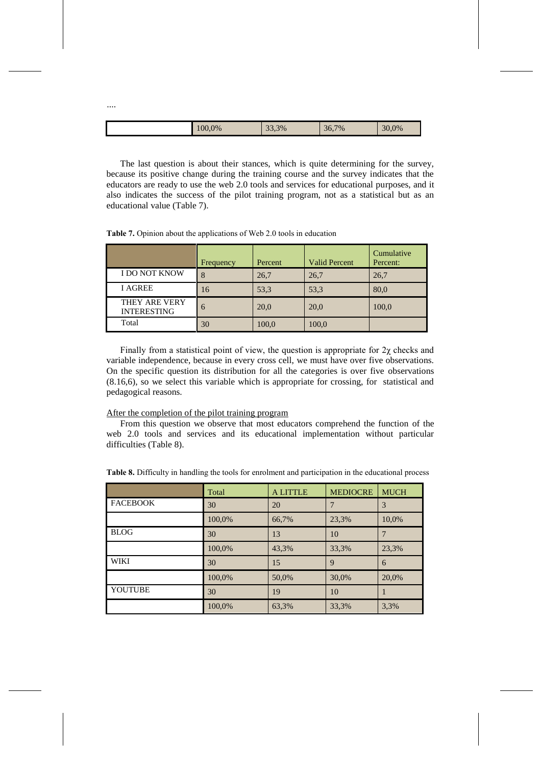| 30,0%<br>36,7%<br>$100,0\%$<br>33,3% |
|--------------------------------------|
|--------------------------------------|

The last question is about their stances, which is quite determining for the survey, because its positive change during the training course and the survey indicates that the educators are ready to use the web 2.0 tools and services for educational purposes, and it also indicates the success of the pilot training program, not as a statistical but as an educational value (Table 7).

**Table 7.** Opinion about the applications of Web 2.0 tools in education

....

|                                     | Frequency | Percent | <b>Valid Percent</b> | Cumulative<br>Percent: |
|-------------------------------------|-----------|---------|----------------------|------------------------|
| I DO NOT KNOW                       | 8         | 26,7    | 26,7                 | 26,7                   |
| <b>I AGREE</b>                      | 16        | 53,3    | 53,3                 | 80,0                   |
| THEY ARE VERY<br><b>INTERESTING</b> | 6         | 20,0    | 20,0                 | 100,0                  |
| Total                               | 30        | 100,0   | 100,0                |                        |

Finally from a statistical point of view, the question is appropriate for  $2\chi$  checks and variable independence, because in every cross cell, we must have over five observations. On the specific question its distribution for all the categories is over five observations (8.16,6), so we select this variable which is appropriate for crossing, for statistical and pedagogical reasons.

# After the completion of the pilot training program

From this question we observe that most educators comprehend the function of the web 2.0 tools and services and its educational implementation without particular difficulties (Table 8).

**Table 8.** Difficulty in handling the tools for enrolment and participation in the educational process

|                 | Total  | <b>A LITTLE</b> | <b>MEDIOCRE</b> | <b>MUCH</b> |
|-----------------|--------|-----------------|-----------------|-------------|
| <b>FACEBOOK</b> | 30     | 20              |                 | 3           |
|                 | 100,0% | 66,7%           | 23,3%           | 10,0%       |
| <b>BLOG</b>     | 30     | 13              | 10              | 7           |
|                 | 100,0% | 43,3%           | 33,3%           | 23,3%       |
| WIKI            | 30     | 15              | 9               | 6           |
|                 | 100,0% | 50,0%           | 30,0%           | 20,0%       |
| <b>YOUTUBE</b>  | 30     | 19              | 10              |             |
|                 | 100,0% | 63,3%           | 33,3%           | 3,3%        |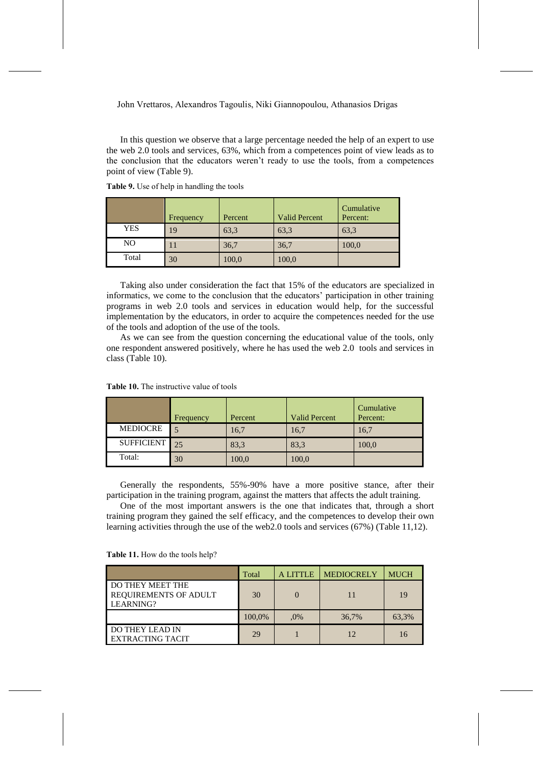In this question we observe that a large percentage needed the help of an expert to use the web 2.0 tools and services, 63%, which from a competences point of view leads as to the conclusion that the educators weren't ready to use the tools, from a competences point of view (Table 9).

|            | Frequency | Percent | <b>Valid Percent</b> | Cumulative<br>Percent: |
|------------|-----------|---------|----------------------|------------------------|
| <b>YES</b> | 19        | 63,3    | 63,3                 | 63,3                   |
| NO.        | 11        | 36,7    | 36,7                 | 100,0                  |
| Total      | 30        | 100,0   | 100,0                |                        |

**Table 9.** Use of help in handling the tools

Taking also under consideration the fact that 15% of the educators are specialized in informatics, we come to the conclusion that the educators' participation in other training programs in web 2.0 tools and services in education would help, for the successful implementation by the educators, in order to acquire the competences needed for the use of the tools and adoption of the use of the tools.

As we can see from the question concerning the educational value of the tools, only one respondent answered positively, where he has used the web 2.0 tools and services in class (Table 10).

|                   | Frequency | Percent | <b>Valid Percent</b> | Cumulative<br>Percent: |
|-------------------|-----------|---------|----------------------|------------------------|
| MEDIOCRE          |           | 16,7    | 16,7                 | 16,7                   |
| <b>SUFFICIENT</b> | 25        | 83,3    | 83,3                 | 100,0                  |
| Total:            | 30        | 100,0   | 100,0                |                        |

**Table 10.** The instructive value of tools

Generally the respondents, 55%-90% have a more positive stance, after their participation in the training program, against the matters that affects the adult training.

One of the most important answers is the one that indicates that, through a short training program they gained the self efficacy, and the competences to develop their own learning activities through the use of the web2.0 tools and services (67%) (Table 11,12).

|                                                               | Total  | <b>A LITTLE</b> | <b>MEDIOCRELY</b> | <b>MUCH</b> |
|---------------------------------------------------------------|--------|-----------------|-------------------|-------------|
| DO THEY MEET THE<br><b>REQUIREMENTS OF ADULT</b><br>LEARNING? | 30     |                 | 11                | 19          |
|                                                               | 100,0% | .0%             | 36,7%             | 63,3%       |
| DO THEY LEAD IN<br><b>EXTRACTING TACIT</b>                    | 29     |                 | 12                |             |

**Table 11.** How do the tools help?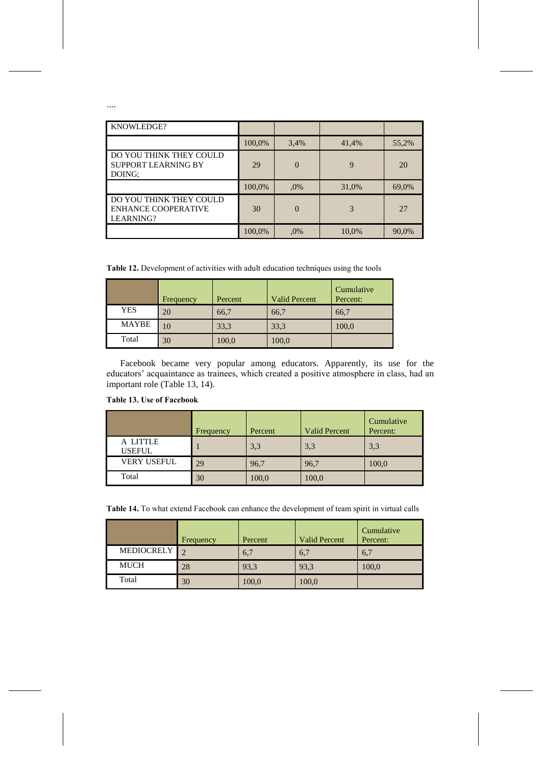| KNOWLEDGE?                                                         |        |          |       |       |
|--------------------------------------------------------------------|--------|----------|-------|-------|
|                                                                    | 100,0% | 3,4%     | 41,4% | 55,2% |
| DO YOU THINK THEY COULD<br><b>SUPPORT LEARNING BY</b><br>DOING:    | 29     | $\Omega$ | 9     | 20    |
|                                                                    | 100,0% | $.0\%$   | 31,0% | 69,0% |
| DO YOU THINK THEY COULD<br><b>ENHANCE COOPERATIVE</b><br>LEARNING? | 30     | $\Omega$ | 3     | 27    |
|                                                                    | 100,0% | .0%      | 10,0% | 90,0% |

**Table 12.** Development of activities with adult education techniques using the tools

|              | Frequency | Percent | <b>Valid Percent</b> | Cumulative<br>Percent: |
|--------------|-----------|---------|----------------------|------------------------|
| YES          | 20        | 66,7    | 66,7                 | 66,7                   |
| <b>MAYBE</b> | 10        | 33,3    | 33,3                 | 100,0                  |
| Total        | 30        | 100,0   | 100,0                |                        |

Facebook became very popular among educators. Apparently, its use for the educators' acquaintance as trainees, which created a positive atmosphere in class, had an important role (Table 13, 14).

|  |  | Table 13. Use of Facebook |  |
|--|--|---------------------------|--|
|  |  |                           |  |

|                           | Frequency | Percent | <b>Valid Percent</b> | Cumulative<br>Percent: |
|---------------------------|-----------|---------|----------------------|------------------------|
| A LITTLE<br><b>USEFUL</b> |           | 3,3     | 3,3                  | 3,3                    |
| <b>VERY USEFUL</b>        | 29        | 96,7    | 96,7                 | 100,0                  |
| Total                     | 30        | 100,0   | 100,0                |                        |

**Table 14.** To what extend Facebook can enhance the development of team spirit in virtual calls

|                   | Frequency | Percent | <b>Valid Percent</b> | Cumulative<br>Percent: |
|-------------------|-----------|---------|----------------------|------------------------|
| <b>MEDIOCRELY</b> | ∠         | 6,7     | 6,7                  | 6,7                    |
| <b>MUCH</b>       | 28        | 93,3    | 93,3                 | 100,0                  |
| Total             | 30        | 100.0   | 100,0                |                        |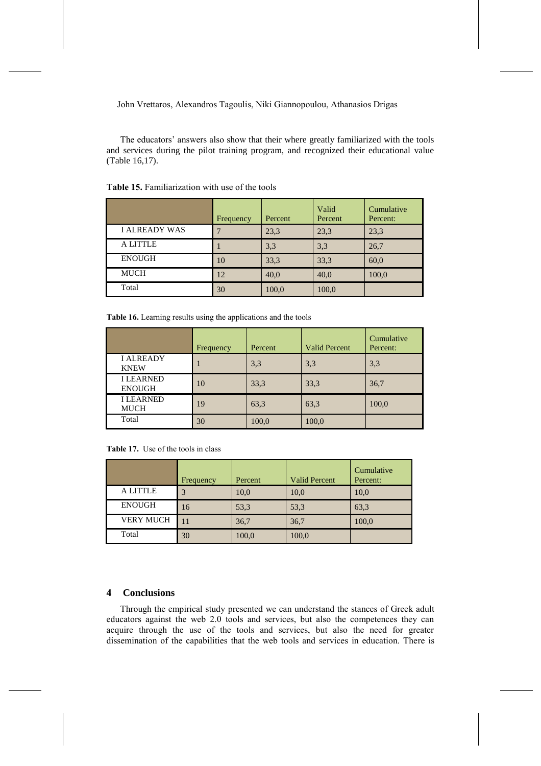The educators' answers also show that their where greatly familiarized with the tools and services during the pilot training program, and recognized their educational value (Table 16,17).

|                      | Frequency | Percent | Valid<br>Percent | Cumulative<br>Percent: |
|----------------------|-----------|---------|------------------|------------------------|
| <b>I ALREADY WAS</b> |           | 23,3    | 23,3             | 23,3                   |
| <b>A LITTLE</b>      |           | 3,3     | 3,3              | 26,7                   |
| <b>ENOUGH</b>        | 10        | 33,3    | 33,3             | 60,0                   |
| <b>MUCH</b>          | 12        | 40,0    | 40,0             | 100,0                  |
| Total                | 30        | 100,0   | 100,0            |                        |

**Table 15.** Familiarization with use of the tools

**Table 16.** Learning results using the applications and the tools

|                                   | Frequency | Percent | <b>Valid Percent</b> | Cumulative<br>Percent: |
|-----------------------------------|-----------|---------|----------------------|------------------------|
| <b>I ALREADY</b><br><b>KNEW</b>   |           | 3,3     | 3,3                  | 3,3                    |
| <b>I LEARNED</b><br><b>ENOUGH</b> | 10        | 33,3    | 33,3                 | 36,7                   |
| <b>I LEARNED</b><br>MUCH          | 19        | 63,3    | 63,3                 | 100,0                  |
| Total                             | 30        | 100,0   | 100,0                |                        |

**Table 17.** Use of the tools in class

|                  | Frequency | Percent | <b>Valid Percent</b> | Cumulative<br>Percent: |
|------------------|-----------|---------|----------------------|------------------------|
| <b>A LITTLE</b>  |           | 10,0    | 10,0                 | 10,0                   |
| <b>ENOUGH</b>    | 16        | 53,3    | 53,3                 | 63,3                   |
| <b>VERY MUCH</b> | 11        | 36,7    | 36,7                 | 100,0                  |
| Total            | 30        | 100,0   | 100,0                |                        |

# **4 Conclusions**

Through the empirical study presented we can understand the stances of Greek adult educators against the web 2.0 tools and services, but also the competences they can acquire through the use of the tools and services, but also the need for greater dissemination of the capabilities that the web tools and services in education. There is